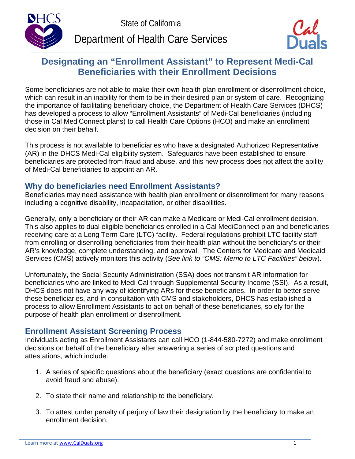



# **Designating an "Enrollment Assistant" to Represent Medi-Cal Beneficiaries with their Enrollment Decisions**

Some beneficiaries are not able to make their own health plan enrollment or disenrollment choice, which can result in an inability for them to be in their desired plan or system of care. Recognizing the importance of facilitating beneficiary choice, the Department of Health Care Services (DHCS) has developed a process to allow "Enrollment Assistants" of Medi-Cal beneficiaries (including those in Cal MediConnect plans) to call Health Care Options (HCO) and make an enrollment decision on their behalf.

This process is not available to beneficiaries who have a designated Authorized Representative (AR) in the DHCS Medi-Cal eligibility system. Safeguards have been established to ensure beneficiaries are protected from fraud and abuse, and this new process does not affect the ability of Medi-Cal beneficiaries to appoint an AR.

## **Why do beneficiaries need Enrollment Assistants?**

Beneficiaries may need assistance with health plan enrollment or disenrollment for many reasons including a cognitive disability, incapacitation, or other disabilities.

Generally, only a beneficiary or their AR can make a Medicare or Medi-Cal enrollment decision. This also applies to dual eligible beneficiaries enrolled in a Cal MediConnect plan and beneficiaries receiving care at a Long Term Care (LTC) facility. Federal regulations prohibit LTC facility staff from enrolling or disenrolling beneficiaries from their health plan without the beneficiary's or their AR's knowledge, complete understanding, and approval. The Centers for Medicare and Medicaid Services (CMS) actively monitors this activity (*See link to "CMS: Memo to LTC Facilities" below*).

Unfortunately, the Social Security Administration (SSA) does not transmit AR information for beneficiaries who are linked to Medi-Cal through Supplemental Security Income (SSI). As a result, DHCS does not have any way of identifying ARs for these beneficiaries. In order to better serve these beneficiaries, and in consultation with CMS and stakeholders, DHCS has established a process to allow Enrollment Assistants to act on behalf of these beneficiaries, solely for the purpose of health plan enrollment or disenrollment.

## **Enrollment Assistant Screening Process**

Individuals acting as Enrollment Assistants can call HCO (1-844-580-7272) and make enrollment decisions on behalf of the beneficiary after answering a series of scripted questions and attestations, which include:

- 1. A series of specific questions about the beneficiary (exact questions are confidential to avoid fraud and abuse).
- 2. To state their name and relationship to the beneficiary.
- 3. To attest under penalty of perjury of law their designation by the beneficiary to make an enrollment decision.